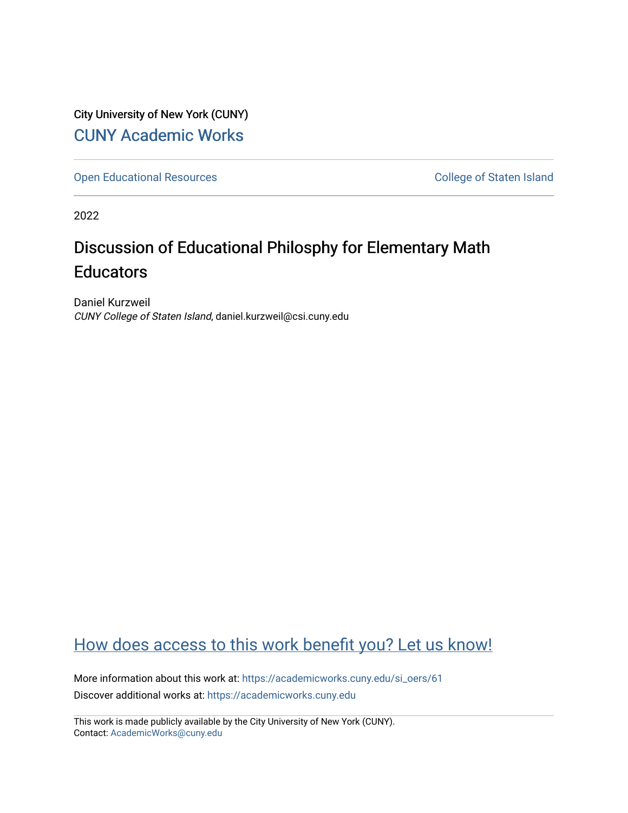City University of New York (CUNY) [CUNY Academic Works](https://academicworks.cuny.edu/) 

[Open Educational Resources](https://academicworks.cuny.edu/si_oers) **College of Staten Island** 

2022

## Discussion of Educational Philosphy for Elementary Math **Educators**

Daniel Kurzweil CUNY College of Staten Island, daniel.kurzweil@csi.cuny.edu

## [How does access to this work benefit you? Let us know!](http://ols.cuny.edu/academicworks/?ref=https://academicworks.cuny.edu/si_oers/61)

More information about this work at: [https://academicworks.cuny.edu/si\\_oers/61](https://academicworks.cuny.edu/si_oers/61) Discover additional works at: [https://academicworks.cuny.edu](https://academicworks.cuny.edu/?)

This work is made publicly available by the City University of New York (CUNY). Contact: [AcademicWorks@cuny.edu](mailto:AcademicWorks@cuny.edu)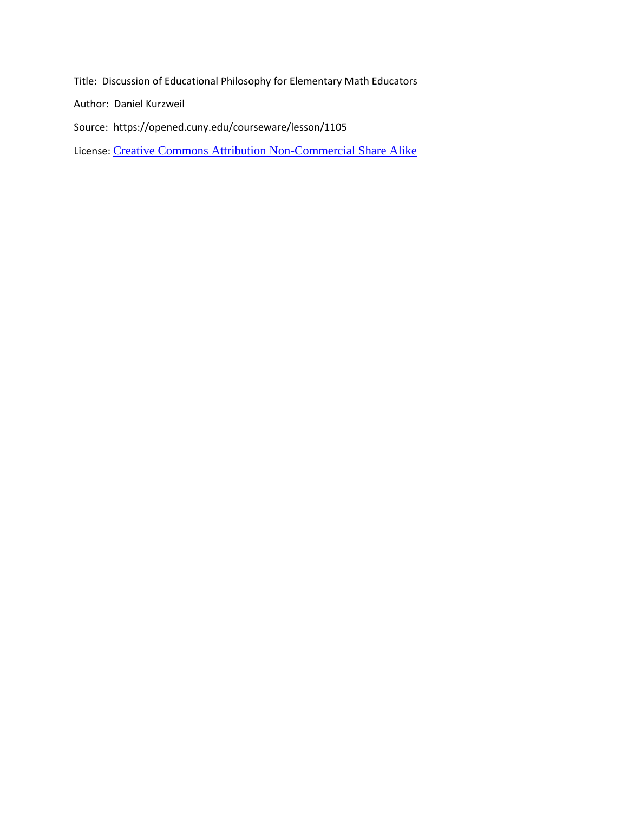Title: Discussion of Educational Philosophy for Elementary Math Educators

Author: Daniel Kurzweil

Source: https://opened.cuny.edu/courseware/lesson/1105

License: [Creative Commons Attribution Non-Commercial Share Alike](https://creativecommons.org/licenses/by-nc-sa/4.0/)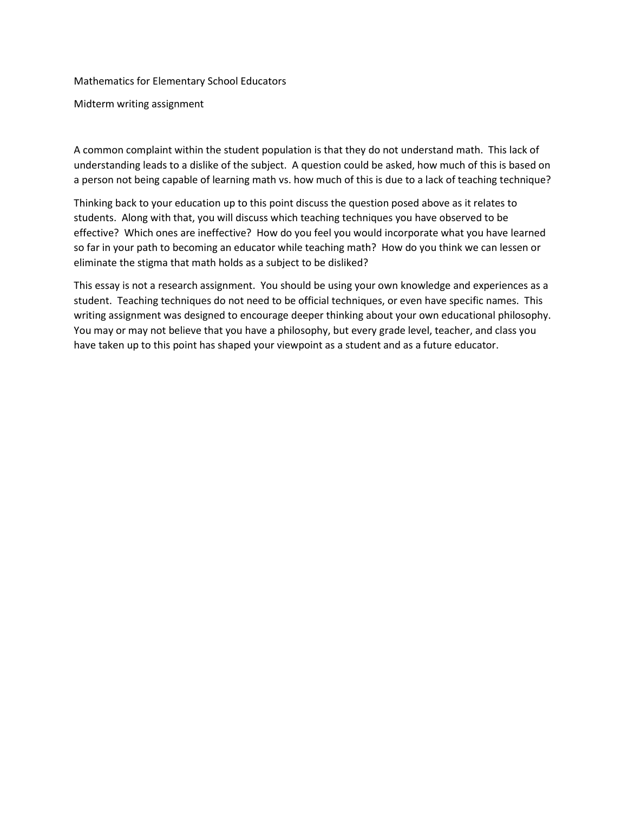Mathematics for Elementary School Educators

Midterm writing assignment

A common complaint within the student population is that they do not understand math. This lack of understanding leads to a dislike of the subject. A question could be asked, how much of this is based on a person not being capable of learning math vs. how much of this is due to a lack of teaching technique?

Thinking back to your education up to this point discuss the question posed above as it relates to students. Along with that, you will discuss which teaching techniques you have observed to be effective? Which ones are ineffective? How do you feel you would incorporate what you have learned so far in your path to becoming an educator while teaching math? How do you think we can lessen or eliminate the stigma that math holds as a subject to be disliked?

This essay is not a research assignment. You should be using your own knowledge and experiences as a student. Teaching techniques do not need to be official techniques, or even have specific names. This writing assignment was designed to encourage deeper thinking about your own educational philosophy. You may or may not believe that you have a philosophy, but every grade level, teacher, and class you have taken up to this point has shaped your viewpoint as a student and as a future educator.